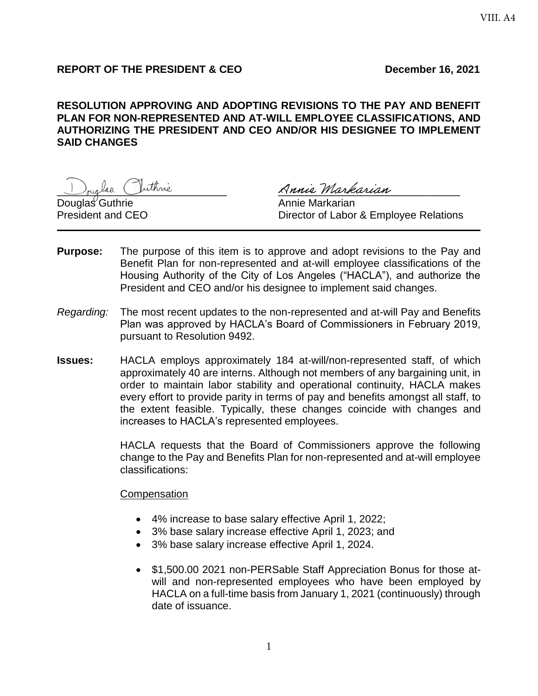# **REPORT OF THE PRESIDENT & CEO December 16, 2021**

# **RESOLUTION APPROVING AND ADOPTING REVISIONS TO THE PAY AND BENEFIT PLAN FOR NON-REPRESENTED AND AT-WILL EMPLOYEE CLASSIFICATIONS, AND AUTHORIZING THE PRESIDENT AND CEO AND/OR HIS DESIGNEE TO IMPLEMENT SAID CHANGES**

Douglas Guthrie **Annie Markarian** 

laa Vuthrie Ranie Markarian

President and CEO **Director of Labor & Employee Relations** 

- **Purpose:** The purpose of this item is to approve and adopt revisions to the Pay and Benefit Plan for non-represented and at-will employee classifications of the Housing Authority of the City of Los Angeles ("HACLA"), and authorize the President and CEO and/or his designee to implement said changes.
- *Regarding:* The most recent updates to the non-represented and at-will Pay and Benefits Plan was approved by HACLA's Board of Commissioners in February 2019, pursuant to Resolution 9492.
- **Issues:** HACLA employs approximately 184 at-will/non-represented staff, of which approximately 40 are interns. Although not members of any bargaining unit, in order to maintain labor stability and operational continuity, HACLA makes every effort to provide parity in terms of pay and benefits amongst all staff, to the extent feasible. Typically, these changes coincide with changes and increases to HACLA's represented employees.

HACLA requests that the Board of Commissioners approve the following change to the Pay and Benefits Plan for non-represented and at-will employee classifications:

**Compensation** 

- 4% increase to base salary effective April 1, 2022;
- 3% base salary increase effective April 1, 2023; and
- 3% base salary increase effective April 1, 2024.
- \$1,500.00 2021 non-PERSable Staff Appreciation Bonus for those atwill and non-represented employees who have been employed by HACLA on a full-time basis from January 1, 2021 (continuously) through date of issuance.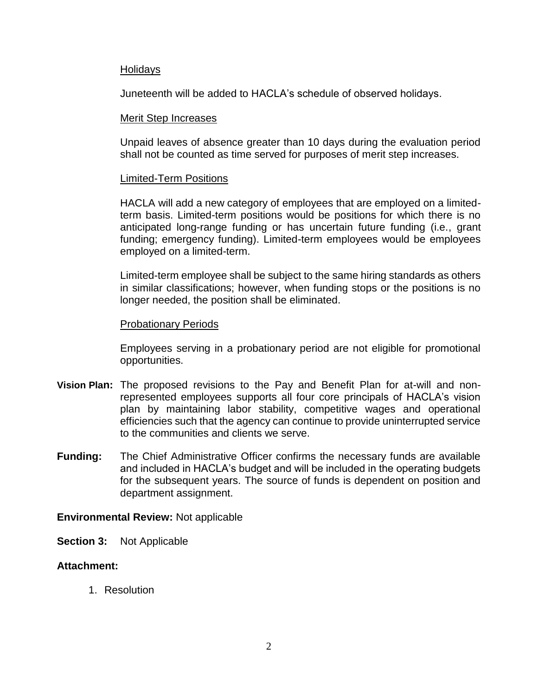### Holidays

Juneteenth will be added to HACLA's schedule of observed holidays.

### Merit Step Increases

Unpaid leaves of absence greater than 10 days during the evaluation period shall not be counted as time served for purposes of merit step increases.

## Limited-Term Positions

HACLA will add a new category of employees that are employed on a limitedterm basis. Limited-term positions would be positions for which there is no anticipated long-range funding or has uncertain future funding (i.e., grant funding; emergency funding). Limited-term employees would be employees employed on a limited-term.

Limited-term employee shall be subject to the same hiring standards as others in similar classifications; however, when funding stops or the positions is no longer needed, the position shall be eliminated.

## Probationary Periods

Employees serving in a probationary period are not eligible for promotional opportunities.

- **Vision Plan:** The proposed revisions to the Pay and Benefit Plan for at-will and nonrepresented employees supports all four core principals of HACLA's vision plan by maintaining labor stability, competitive wages and operational efficiencies such that the agency can continue to provide uninterrupted service to the communities and clients we serve.
- **Funding:** The Chief Administrative Officer confirms the necessary funds are available and included in HACLA's budget and will be included in the operating budgets for the subsequent years. The source of funds is dependent on position and department assignment.

# **Environmental Review:** Not applicable

**Section 3:** Not Applicable

# **Attachment:**

1. Resolution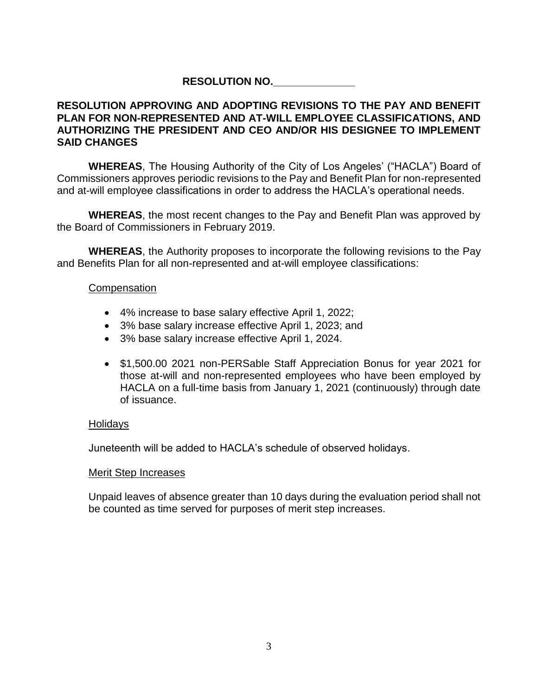# **RESOLUTION NO.\_\_\_\_\_\_\_\_\_\_\_\_\_\_**

## **RESOLUTION APPROVING AND ADOPTING REVISIONS TO THE PAY AND BENEFIT PLAN FOR NON-REPRESENTED AND AT-WILL EMPLOYEE CLASSIFICATIONS, AND AUTHORIZING THE PRESIDENT AND CEO AND/OR HIS DESIGNEE TO IMPLEMENT SAID CHANGES**

**WHEREAS**, The Housing Authority of the City of Los Angeles' ("HACLA") Board of Commissioners approves periodic revisions to the Pay and Benefit Plan for non-represented and at-will employee classifications in order to address the HACLA's operational needs.

**WHEREAS**, the most recent changes to the Pay and Benefit Plan was approved by the Board of Commissioners in February 2019.

**WHEREAS**, the Authority proposes to incorporate the following revisions to the Pay and Benefits Plan for all non-represented and at-will employee classifications:

### **Compensation**

- 4% increase to base salary effective April 1, 2022;
- 3% base salary increase effective April 1, 2023; and
- 3% base salary increase effective April 1, 2024.
- \$1,500.00 2021 non-PERSable Staff Appreciation Bonus for year 2021 for those at-will and non-represented employees who have been employed by HACLA on a full-time basis from January 1, 2021 (continuously) through date of issuance.

### Holidays

Juneteenth will be added to HACLA's schedule of observed holidays.

### Merit Step Increases

Unpaid leaves of absence greater than 10 days during the evaluation period shall not be counted as time served for purposes of merit step increases.